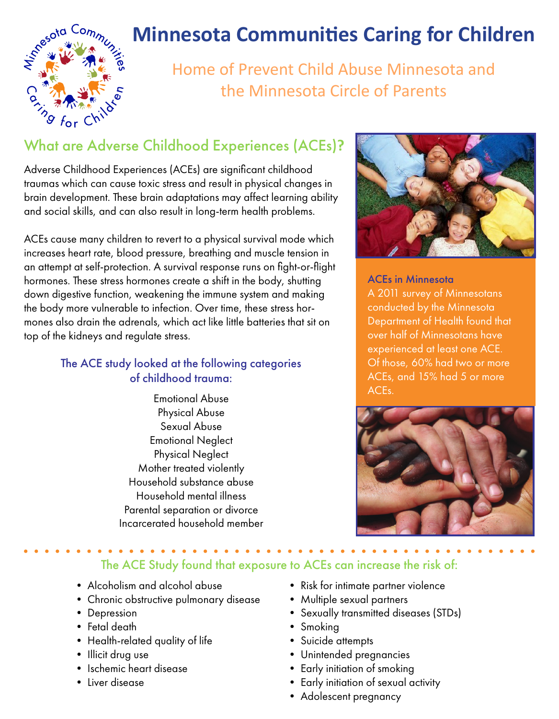

# **Minnesota Communities Caring for Children**

Home of Prevent Child Abuse Minnesota and the Minnesota Circle of Parents

Adverse Childhood Experiences (ACEs) are significant childhood traumas which can cause toxic stress and result in physical changes in brain development. These brain adaptations may affect learning ability and social skills, and can also result in long-term health problems.

ACEs cause many children to revert to a physical survival mode which increases heart rate, blood pressure, breathing and muscle tension in an attempt at self-protection. A survival response runs on fight-or-flight hormones. These stress hormones create a shift in the body, shutting down digestive function, weakening the immune system and making the body more vulnerable to infection. Over time, these stress hormones also drain the adrenals, which act like little batteries that sit on top of the kidneys and regulate stress.

### The ACE study looked at the following categories of childhood trauma:

Emotional Abuse Physical Abuse Sexual Abuse Emotional Neglect Physical Neglect Mother treated violently Household substance abuse Household mental illness Parental separation or divorce Incarcerated household member



ACEs in Minnesota A 2011 survey of Minnesotans conducted by the Minnesota Department of Health found that over half of Minnesotans have experienced at least one ACE. Of those, 60% had two or more ACEs, and 15% had 5 or more ACEs.



The ACE Study found that exposure to ACEs can increase the risk of:

- Alcoholism and alcohol abuse
- Chronic obstructive pulmonary disease
- Depression
- Fetal death
- Health-related quality of life
- Illicit drug use
- Ischemic heart disease
- Liver disease
- Risk for intimate partner violence
- Multiple sexual partners
- Sexually transmitted diseases (STDs)
- Smoking
- Suicide attempts
- Unintended pregnancies
- Early initiation of smoking
- Early initiation of sexual activity
- Adolescent pregnancy